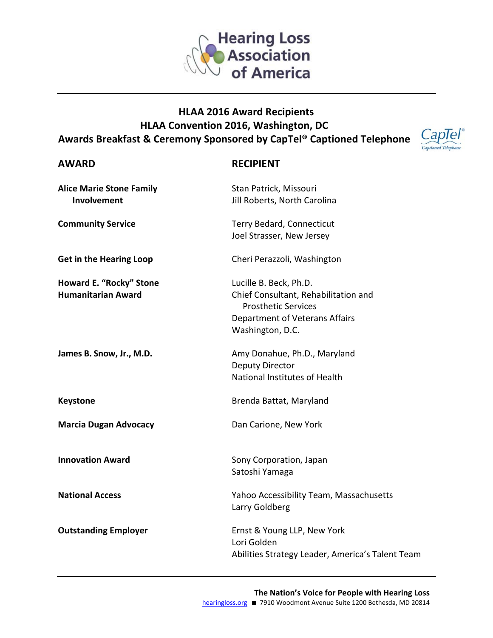

## **HLAA 2016 Award Recipients** HLAA Convention 2016, Washington, DC Awards Breakfast & Ceremony Sponsored by CapTel® Captioned Telephone



## **AWARD**

## **RECIPIENT**

| <b>Alice Marie Stone Family</b><br>Involvement       | Stan Patrick, Missouri<br>Jill Roberts, North Carolina                                                                                             |
|------------------------------------------------------|----------------------------------------------------------------------------------------------------------------------------------------------------|
| <b>Community Service</b>                             | Terry Bedard, Connecticut<br>Joel Strasser, New Jersey                                                                                             |
| <b>Get in the Hearing Loop</b>                       | Cheri Perazzoli, Washington                                                                                                                        |
| Howard E. "Rocky" Stone<br><b>Humanitarian Award</b> | Lucille B. Beck, Ph.D.<br>Chief Consultant, Rehabilitation and<br><b>Prosthetic Services</b><br>Department of Veterans Affairs<br>Washington, D.C. |
| James B. Snow, Jr., M.D.                             | Amy Donahue, Ph.D., Maryland<br><b>Deputy Director</b><br>National Institutes of Health                                                            |
| <b>Keystone</b>                                      | Brenda Battat, Maryland                                                                                                                            |
| <b>Marcia Dugan Advocacy</b>                         | Dan Carione, New York                                                                                                                              |
| <b>Innovation Award</b>                              | Sony Corporation, Japan<br>Satoshi Yamaga                                                                                                          |
| <b>National Access</b>                               | Yahoo Accessibility Team, Massachusetts<br>Larry Goldberg                                                                                          |
| <b>Outstanding Employer</b>                          | Ernst & Young LLP, New York<br>Lori Golden<br>Abilities Strategy Leader, America's Talent Team                                                     |